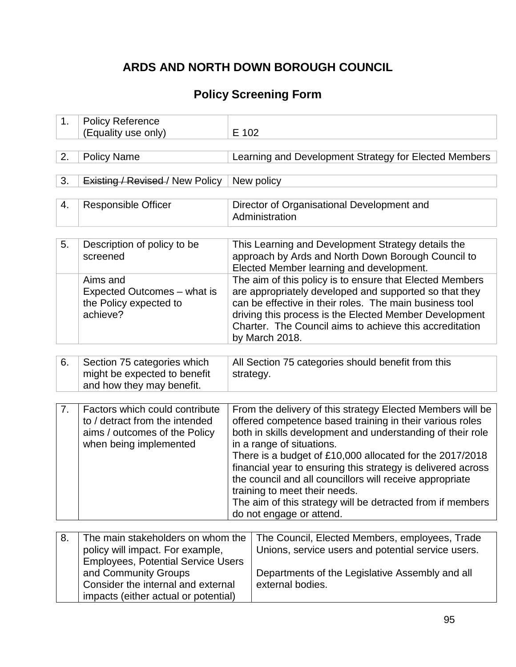# **ARDS AND NORTH DOWN BOROUGH COUNCIL**

## **Policy Screening Form**

| 1. | <b>Policy Reference</b>                                                                                                                                                          |                                                                                                                                                                                                                                                                                                                                                                                                                                                                                                                                      |                                                                                                                                                                             |
|----|----------------------------------------------------------------------------------------------------------------------------------------------------------------------------------|--------------------------------------------------------------------------------------------------------------------------------------------------------------------------------------------------------------------------------------------------------------------------------------------------------------------------------------------------------------------------------------------------------------------------------------------------------------------------------------------------------------------------------------|-----------------------------------------------------------------------------------------------------------------------------------------------------------------------------|
|    | (Equality use only)                                                                                                                                                              | E 102                                                                                                                                                                                                                                                                                                                                                                                                                                                                                                                                |                                                                                                                                                                             |
|    |                                                                                                                                                                                  |                                                                                                                                                                                                                                                                                                                                                                                                                                                                                                                                      |                                                                                                                                                                             |
| 2. | <b>Policy Name</b>                                                                                                                                                               | Learning and Development Strategy for Elected Members                                                                                                                                                                                                                                                                                                                                                                                                                                                                                |                                                                                                                                                                             |
|    |                                                                                                                                                                                  |                                                                                                                                                                                                                                                                                                                                                                                                                                                                                                                                      |                                                                                                                                                                             |
| 3. | Existing / Revised / New Policy                                                                                                                                                  |                                                                                                                                                                                                                                                                                                                                                                                                                                                                                                                                      | New policy                                                                                                                                                                  |
|    |                                                                                                                                                                                  |                                                                                                                                                                                                                                                                                                                                                                                                                                                                                                                                      |                                                                                                                                                                             |
| 4. | <b>Responsible Officer</b>                                                                                                                                                       |                                                                                                                                                                                                                                                                                                                                                                                                                                                                                                                                      | Director of Organisational Development and<br>Administration                                                                                                                |
|    |                                                                                                                                                                                  |                                                                                                                                                                                                                                                                                                                                                                                                                                                                                                                                      |                                                                                                                                                                             |
| 5. | Description of policy to be<br>screened                                                                                                                                          |                                                                                                                                                                                                                                                                                                                                                                                                                                                                                                                                      | This Learning and Development Strategy details the<br>approach by Ards and North Down Borough Council to<br>Elected Member learning and development.                        |
|    | Aims and<br>Expected Outcomes – what is<br>the Policy expected to<br>achieve?                                                                                                    | The aim of this policy is to ensure that Elected Members<br>are appropriately developed and supported so that they<br>can be effective in their roles. The main business tool<br>driving this process is the Elected Member Development<br>Charter. The Council aims to achieve this accreditation<br>by March 2018.                                                                                                                                                                                                                 |                                                                                                                                                                             |
|    |                                                                                                                                                                                  |                                                                                                                                                                                                                                                                                                                                                                                                                                                                                                                                      |                                                                                                                                                                             |
| 6. | Section 75 categories which<br>might be expected to benefit<br>and how they may benefit.                                                                                         | All Section 75 categories should benefit from this<br>strategy.                                                                                                                                                                                                                                                                                                                                                                                                                                                                      |                                                                                                                                                                             |
|    |                                                                                                                                                                                  |                                                                                                                                                                                                                                                                                                                                                                                                                                                                                                                                      |                                                                                                                                                                             |
| 7. | Factors which could contribute<br>to / detract from the intended<br>aims / outcomes of the Policy<br>when being implemented                                                      | From the delivery of this strategy Elected Members will be<br>offered competence based training in their various roles<br>both in skills development and understanding of their role<br>in a range of situations.<br>There is a budget of £10,000 allocated for the 2017/2018<br>financial year to ensuring this strategy is delivered across<br>the council and all councillors will receive appropriate<br>training to meet their needs.<br>The aim of this strategy will be detracted from if members<br>do not engage or attend. |                                                                                                                                                                             |
|    |                                                                                                                                                                                  |                                                                                                                                                                                                                                                                                                                                                                                                                                                                                                                                      |                                                                                                                                                                             |
| 8. | The main stakeholders on whom the<br>policy will impact. For example,<br><b>Employees, Potential Service Users</b><br>and Community Groups<br>Consider the internal and external |                                                                                                                                                                                                                                                                                                                                                                                                                                                                                                                                      | The Council, Elected Members, employees, Trade<br>Unions, service users and potential service users.<br>Departments of the Legislative Assembly and all<br>external bodies. |
|    | impacts (either actual or potential)                                                                                                                                             |                                                                                                                                                                                                                                                                                                                                                                                                                                                                                                                                      |                                                                                                                                                                             |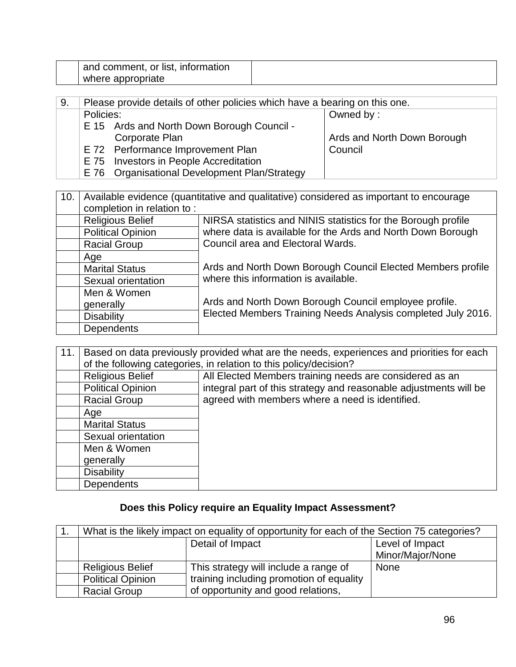| or list,<br>and<br>.comment<br><b>Information</b> |  |
|---------------------------------------------------|--|
| where appropriate                                 |  |

| 9. | Please provide details of other policies which have a bearing on this one. |                             |
|----|----------------------------------------------------------------------------|-----------------------------|
|    | Policies:                                                                  | Owned by:                   |
|    | E 15 Ards and North Down Borough Council -                                 |                             |
|    | Corporate Plan                                                             | Ards and North Down Borough |
|    | E 72 Performance Improvement Plan                                          | Council                     |
|    | E 75 Investors in People Accreditation                                     |                             |
|    | E 76 Organisational Development Plan/Strategy                              |                             |

| 10. | Available evidence (quantitative and qualitative) considered as important to encourage |                                                               |  |
|-----|----------------------------------------------------------------------------------------|---------------------------------------------------------------|--|
|     | completion in relation to:                                                             |                                                               |  |
|     | <b>Religious Belief</b>                                                                | NIRSA statistics and NINIS statistics for the Borough profile |  |
|     | <b>Political Opinion</b>                                                               | where data is available for the Ards and North Down Borough   |  |
|     | <b>Racial Group</b>                                                                    | Council area and Electoral Wards.                             |  |
|     | Age                                                                                    |                                                               |  |
|     | <b>Marital Status</b>                                                                  | Ards and North Down Borough Council Elected Members profile   |  |
|     | Sexual orientation                                                                     | where this information is available.                          |  |
|     | Men & Women                                                                            |                                                               |  |
|     | generally                                                                              | Ards and North Down Borough Council employee profile.         |  |
|     | <b>Disability</b>                                                                      | Elected Members Training Needs Analysis completed July 2016.  |  |
|     | <b>Dependents</b>                                                                      |                                                               |  |

| 11. | Based on data previously provided what are the needs, experiences and priorities for each |                                                                   |  |
|-----|-------------------------------------------------------------------------------------------|-------------------------------------------------------------------|--|
|     |                                                                                           | of the following categories, in relation to this policy/decision? |  |
|     | <b>Religious Belief</b>                                                                   | All Elected Members training needs are considered as an           |  |
|     | <b>Political Opinion</b>                                                                  | integral part of this strategy and reasonable adjustments will be |  |
|     | <b>Racial Group</b>                                                                       | agreed with members where a need is identified.                   |  |
|     | Age                                                                                       |                                                                   |  |
|     | <b>Marital Status</b>                                                                     |                                                                   |  |
|     | Sexual orientation                                                                        |                                                                   |  |
|     | Men & Women                                                                               |                                                                   |  |
|     | generally                                                                                 |                                                                   |  |
|     | <b>Disability</b>                                                                         |                                                                   |  |
|     | <b>Dependents</b>                                                                         |                                                                   |  |

## **Does this Policy require an Equality Impact Assessment?**

| What is the likely impact on equality of opportunity for each of the Section 75 categories? |                                          |                  |
|---------------------------------------------------------------------------------------------|------------------------------------------|------------------|
| Detail of Impact                                                                            |                                          | Level of Impact  |
|                                                                                             |                                          | Minor/Major/None |
| <b>Religious Belief</b>                                                                     | This strategy will include a range of    | <b>None</b>      |
| <b>Political Opinion</b>                                                                    | training including promotion of equality |                  |
| <b>Racial Group</b>                                                                         | of opportunity and good relations,       |                  |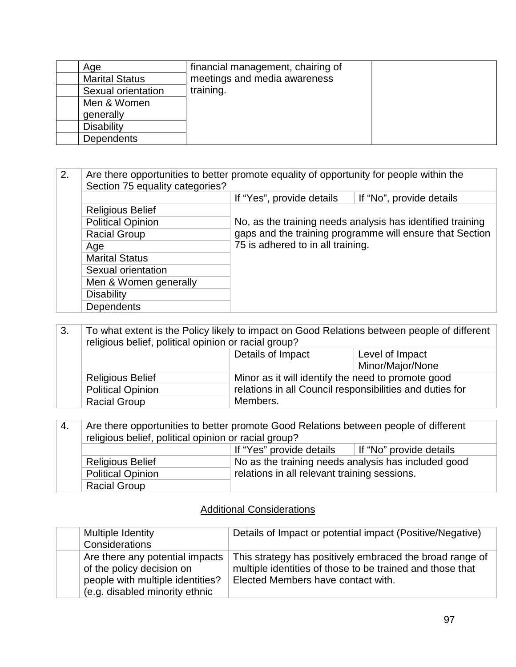| Age                   | financial management, chairing of |  |
|-----------------------|-----------------------------------|--|
| <b>Marital Status</b> | meetings and media awareness      |  |
| Sexual orientation    | training.                         |  |
| Men & Women           |                                   |  |
| generally             |                                   |  |
| <b>Disability</b>     |                                   |  |
| <b>Dependents</b>     |                                   |  |

#### 2. Are there opportunities to better promote equality of opportunity for people within the Section 75 equality categories? If "Yes", provide details  $\parallel$  If "No", provide details Religious Belief No, as the training needs analysis has identified training gaps and the training programme will ensure that Section 75 is adhered to in all training. Political Opinion Racial Group Age **Marital Status** Sexual orientation Men & Women generally **Disability Dependents**

| 3. | To what extent is the Policy likely to impact on Good Relations between people of different<br>religious belief, political opinion or racial group? |                                                          |                  |
|----|-----------------------------------------------------------------------------------------------------------------------------------------------------|----------------------------------------------------------|------------------|
|    |                                                                                                                                                     | Details of Impact<br>Level of Impact                     |                  |
|    |                                                                                                                                                     |                                                          | Minor/Major/None |
|    | <b>Religious Belief</b>                                                                                                                             | Minor as it will identify the need to promote good       |                  |
|    | <b>Political Opinion</b>                                                                                                                            | relations in all Council responsibilities and duties for |                  |
|    | <b>Racial Group</b>                                                                                                                                 | Members.                                                 |                  |

| -4. | Are there opportunities to better promote Good Relations between people of different |  |  |
|-----|--------------------------------------------------------------------------------------|--|--|
|     | religious belief, political opinion or racial group?                                 |  |  |
|     | If "Yes" provide details<br>If "No" provide details                                  |  |  |
|     | No as the training needs analysis has included good<br><b>Religious Belief</b>       |  |  |
|     | relations in all relevant training sessions.<br><b>Political Opinion</b>             |  |  |
|     | <b>Racial Group</b>                                                                  |  |  |

#### Additional Considerations

| Multiple Identity                | Details of Impact or potential impact (Positive/Negative) |
|----------------------------------|-----------------------------------------------------------|
| Considerations                   |                                                           |
| Are there any potential impacts  | This strategy has positively embraced the broad range of  |
| of the policy decision on        | multiple identities of those to be trained and those that |
| people with multiple identities? | Elected Members have contact with.                        |
| (e.g. disabled minority ethnic   |                                                           |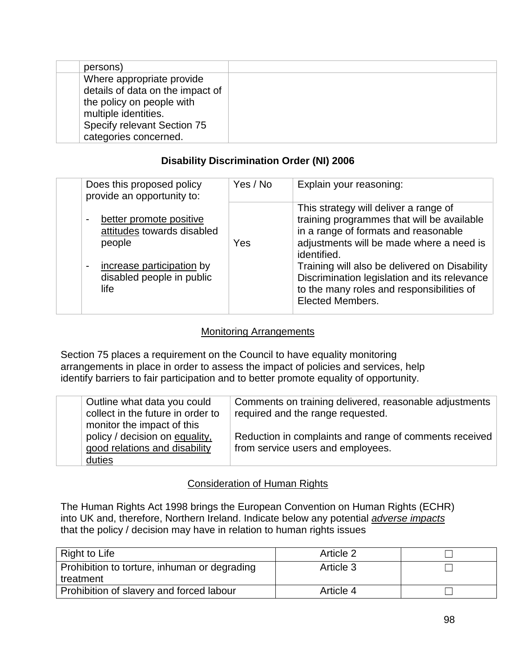| persons)                         |  |
|----------------------------------|--|
| Where appropriate provide        |  |
| details of data on the impact of |  |
| the policy on people with        |  |
| multiple identities.             |  |
| Specify relevant Section 75      |  |
| categories concerned.            |  |
|                                  |  |

### **Disability Discrimination Order (NI) 2006**

| Does this proposed policy<br>provide an opportunity to:                                                                                                                             | Yes / No | Explain your reasoning:                                                                                                                                                                                                                                                                                                                                         |
|-------------------------------------------------------------------------------------------------------------------------------------------------------------------------------------|----------|-----------------------------------------------------------------------------------------------------------------------------------------------------------------------------------------------------------------------------------------------------------------------------------------------------------------------------------------------------------------|
| better promote positive<br>$\qquad \qquad \blacksquare$<br>attitudes towards disabled<br>people<br>increase participation by<br>$\blacksquare$<br>disabled people in public<br>life | Yes      | This strategy will deliver a range of<br>training programmes that will be available<br>in a range of formats and reasonable<br>adjustments will be made where a need is<br>identified.<br>Training will also be delivered on Disability<br>Discrimination legislation and its relevance<br>to the many roles and responsibilities of<br><b>Elected Members.</b> |

### Monitoring Arrangements

Section 75 places a requirement on the Council to have equality monitoring arrangements in place in order to assess the impact of policies and services, help identify barriers to fair participation and to better promote equality of opportunity.

| Outline what data you could<br>collect in the future in order to<br>monitor the impact of this | Comments on training delivered, reasonable adjustments<br>required and the range requested. |
|------------------------------------------------------------------------------------------------|---------------------------------------------------------------------------------------------|
| policy / decision on equality,<br>good relations and disability<br>duties                      | Reduction in complaints and range of comments received<br>from service users and employees. |

## Consideration of Human Rights

The Human Rights Act 1998 brings the European Convention on Human Rights (ECHR) into UK and, therefore, Northern Ireland. Indicate below any potential *adverse impacts* that the policy / decision may have in relation to human rights issues

| Right to Life                                | Article 2 |  |
|----------------------------------------------|-----------|--|
| Prohibition to torture, inhuman or degrading | Article 3 |  |
| treatment                                    |           |  |
| Prohibition of slavery and forced labour     | Article 4 |  |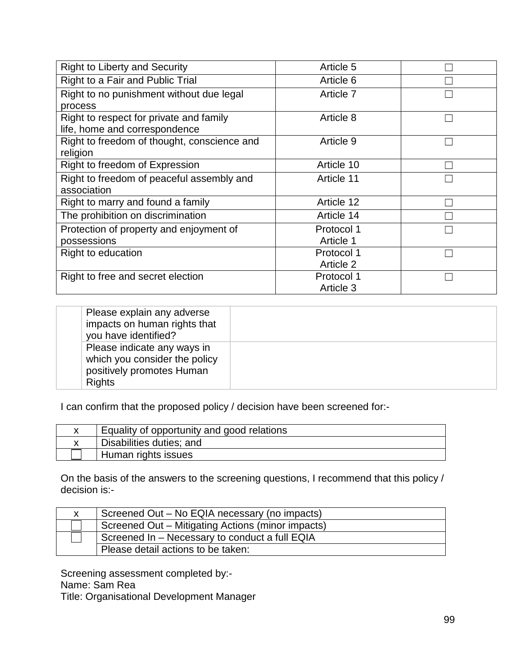| <b>Right to Liberty and Security</b>        | Article 5  |  |
|---------------------------------------------|------------|--|
| Right to a Fair and Public Trial            | Article 6  |  |
| Right to no punishment without due legal    | Article 7  |  |
| process                                     |            |  |
| Right to respect for private and family     | Article 8  |  |
| life, home and correspondence               |            |  |
| Right to freedom of thought, conscience and | Article 9  |  |
| religion                                    |            |  |
| Right to freedom of Expression              | Article 10 |  |
| Right to freedom of peaceful assembly and   | Article 11 |  |
| association                                 |            |  |
| Right to marry and found a family           | Article 12 |  |
| The prohibition on discrimination           | Article 14 |  |
| Protection of property and enjoyment of     | Protocol 1 |  |
| possessions                                 | Article 1  |  |
| Right to education                          | Protocol 1 |  |
|                                             | Article 2  |  |
| Right to free and secret election           | Protocol 1 |  |
|                                             | Article 3  |  |

| Please explain any adverse<br>impacts on human rights that<br>you have identified?                         |  |
|------------------------------------------------------------------------------------------------------------|--|
| Please indicate any ways in<br>which you consider the policy<br>positively promotes Human<br><b>Rights</b> |  |

I can confirm that the proposed policy / decision have been screened for:-

| Equality of opportunity and good relations |
|--------------------------------------------|
| Disabilities duties; and                   |
| Human rights issues                        |

On the basis of the answers to the screening questions, I recommend that this policy / decision is:-

| Screened Out – No EQIA necessary (no impacts)     |
|---------------------------------------------------|
| Screened Out - Mitigating Actions (minor impacts) |
| Screened In - Necessary to conduct a full EQIA    |
| Please detail actions to be taken:                |

Screening assessment completed by:- Name: Sam Rea Title: Organisational Development Manager